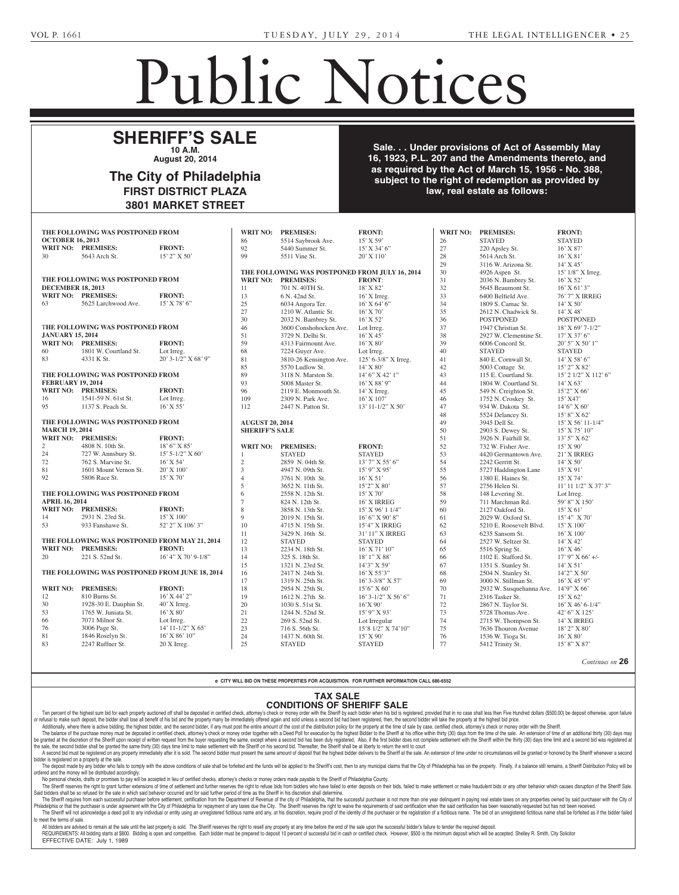# Public Notices

Rodman M. Rosenberger, Attorney, Barber, Sharper, Sharper, Sharper, Sharper, Sharper, Sharper, Sharper, Sharper, Sharper, Sharper, Sharper, ger, One Summit St., Philadel-Philadel-Philadel-Philadel-Philadel-Philadel-Philadel-Philadel-Philadel-Philadel-

FRONT:

## **SHERIFF'S SALE 10 A.M.**

**August 20, 2014** Eaton, Administratrix, c/o Mi-

#### The City of Philadelphia FIRST DISTRICT PLAZA **3801 MARKET STREET** The City of Philadelphia Estates and Fiduciaries Code which requires a dvertisement of  $\alpha$ of grant of letters to contain the state  $\mathcal{S}$ the name and address of the w Pilmantown Pike, Ste DIGINICI FLAZA <u>WARRET STREET</u>

THE FOLLOWING WAS POSTPONED FROM<br>OCTORER 16–2013 **OCTOBER 16, 2013 WRIT NO: PREMISES: FRONT:** 30 5643 Arch St. **THE FOLLOWING WAS POSTPONED FROM pecember 18, 2013 WRIT NO: PREMISES:** FRONT: **63** 5625 Larchwood Ave. 15' X 78' 6" THE FOLLOWING WAS POSTPONED FROM  $\vert$  46 **JANUARY 15, 2014 WRIT NO: PREMISES:** FRONT:  $\begin{array}{|l|l|}\n\hline\n60 & 1801 \text{ W.} \text{Courtland St.} \n\end{array}$  Lot Irreg. 83 4331 K St.  $20'3-1/2''$  X 68' 9" 81 **THE FOLLOWING WAS POSTPONED FROM FEBRUARY 19, 2014 WRIT NO: PREMISES: FRONT:** 19134. **WRIT NO: PREMISES: FRONT:**<br>16 1541-59 N. 61st St. Lot Irreg. 95 1137 S. Peach St. **THE FOLLOWING WAS POSTPONED FROM MARCH 19, 2014 WRIT NO: PREMISES: FRONT:** 2 4808 N. 10th St. 18' 6" X 85' 24 727 W. Annsbury St. 15' 5-1/2" X 60' 72 762 S. Marvine St. 16' X 54' 81 1601 Mount Vernon St.  $20'$  X 100' 92 5806 Race St. 15' X 70' **THE FOLLOWING WAS POSTPONED FROM**  $\begin{bmatrix} 6 \end{bmatrix}$ **APRIL 16, 2014 WRIT NO: PREMISES:** FRONT: 14 2931 N. 23rd St.  $15' X 100'$ 53 933 Fanshawe St. 52' 2" X 106' 3" 10 **THE FOLLOWING WAS POSTPONED FROM MAY 21, 2014 WRIT NO: PREMISES:** 20 221 S. 52nd St. 16' 4" X 70' 9-1/8" **Letters have been granted on the Estate** THE FOLLOWING WAS POSTPONED FROM WRIT N **payment to them (unless otherwise noted all addresses being in Philadelphia):** 60 1801 W. Co<br>83 4331 K St.  $\begin{bmatrix} 0 & -1 \\ 0 & -1 \end{bmatrix}$  Taylor, Esquire, Esquire, Esquire, Esquire, Esquire, Esquire, Esquire, Esquire, Esquire, Esquire, Esquire, Esquire, Esquire, Esquire, Esquire, Esquire, Esquire, Esquire, Esquire, Esquire, Esquire THE FOLLOWING WAS POSTPONED FROM  $\begin{bmatrix} 2J & 11J & 3.1 \text{ cad} & 30. \end{bmatrix}$ THE FOLLOWING WAS POSTPONED FROM AUGUST 53 933 Fanshawe St.  $\begin{bmatrix} 1 & 39 \end{bmatrix}$ 20 221 S. 52nd St. **as ANDRE GRIFFIN, SR.)** -- **FRUNE:**  $\frac{92}{15229 \text{ N}}$  $15'2''$  X 50<sup>o</sup> 1760 | 99 Market Street, Ste. 601, Philadelphilosophia 1910s in the FO  $\vert$  11, Philadelphia, Philadelphia, Philadelphia, Philadelphia, Philadelphia, Philadelphia, Philadelphia, Philadelphia, Philadelphia, Philadelphia, Philadelphia, Philadelphia, Philadelphia, Philadelphia, Philadelphia, Ph **FRONT**  $\frac{1}{31}$  $PRONT:$  59 Lot Irreg. 68  $\frac{50}{12}$   $\frac{1}{12}$   $\frac{1}{100}$   $\frac{5}{12}$   $\frac{1}{100}$   $\frac{5}{12}$   $\frac{1}{100}$   $\frac{5}{12}$   $\frac{1}{100}$   $\frac{5}{12}$   $\frac{1}{100}$   $\frac{5}{12}$   $\frac{1}{100}$   $\frac{5}{12}$   $\frac{1}{100}$   $\frac{5}{12}$   $\frac{1}{100}$   $\frac{5}{12}$   $\frac{1}{100}$   $\$  $16'$  X 55' 112  $\begin{array}{|c|c|c|c|c|}\n\hline\n\text{1} & \text{1} & \text{1} \\
\hline\n\text{2} & \text{1} & \text{1} \\
\hline\n\end{array}$  $\begin{array}{c|c}\nD \text{FNOM} \\
\hline\n\text{SIPD}}\n\end{array}$ FRONT:  $RON1:$ <br>1916: Expression and Figures  $18'6''$  X  $85'$   $\qquad$  WRIT N  $\begin{array}{c|c} 15' & 5-1/2'' & X & 60' \\ 16' & X & 54' & 2 \end{array}$  $\begin{array}{c} 16' \, \text{X} \; 54' \\ 20' \, \text{X} \; 100' \end{array}$ **known as BARBARA REX 1999 FRONT:** 8<br>15' X 100' 9  $\begin{array}{c|c}\n 15' \text{ X } 100' \\
 52' \text{ 2} \text{ Y } \text{ X } 106' \text{ 3} \text{ '}\n \end{array}$   $\begin{array}{|c|c|}\n 9 \\
 10\n \end{array}$  $\vert$  11 FROM MAY 21, 2014  $\begin{array}{|c|c|} \hline 12 \\ 13 \end{array}$  $\begin{array}{|c|c|c|c|}\n\hline\n & 17 \\
\hline\n & 15\n\end{array}$ 

## THE FOLLOWING WAS POSTPONED FROM JUNE 18, 2014

Fuges, Esquires, 300 Huntingdon Pike, Rockledge, PA 19046; Embery, Outterson & Fuges, Attorneys, 300 Huntingdon Pike,

Rockledge, PA 19046.

| THE FULLOWING WAS POSTPONED FROM JUNE 10, 2014 |                        |                       | 10 | 2417 N. 24th St. | $10^{\circ}$ A 33 3        | റ്റ | 2504 N. Stanley St.                     | 14 2 A 50          |
|------------------------------------------------|------------------------|-----------------------|----|------------------|----------------------------|-----|-----------------------------------------|--------------------|
|                                                |                        |                       |    | 1319 N. 25th St. | $16'3 - 3/8''$ X 57'       | -69 | 3000 N. Stillman St.                    | $16'$ X 45' 9"     |
| <b>WRIT NO:</b>                                | <b>PREMISES:</b>       | <b>FRONT:</b>         | 18 | 2954 N. 25th St. | $15'6''$ X 60'             | 70  | 2932 W. Susquehanna Ave. $14'9'' X 66'$ |                    |
| 12                                             | 810 Burns St.          | $16'$ X 44' 2"        | 19 | 1612 N. 27th St. | $16'3-1/2''$ X 56' 6"      | 71  | 2316 Tasker St.                         | 15' X 62'          |
| 30                                             | 1928-30 E. Dauphin St. | $40'$ X Irreg.        | 20 | 1030 S. 51st St. | $16'$ X 90'                |     | 2867 N. Taylor St.                      | $16'$ X 46' 6-1/4" |
| 53                                             | 1765 W. Juniata St.    | $16'$ X $80'$         | 21 | 1244 N. 52nd St. | $15'9''$ X 93'             |     | 5728 Thomas Ave.                        | $42'$ 6" X 125"    |
| 66                                             | 7071 Milnor St.        | Lot Irreg.            | 22 | 269 S. 52nd St.  | Lot Irregular              | 74  | 2715 W. Thompson St.                    | 14' X IRREG        |
| 76                                             | 3006 Page St.          | $14'$ 11-1/2" X 65'   | 23 | 716 S. 56th St.  | $15'8$ $1/2''$ X $74'10''$ | 75  | 7636 Thouron Avenue                     | $18'$ 2" X 80'     |
| 81                                             | 1846 Roselyn St.       | $16'$ X 86' $10''$    | 24 | 1437 N. 60th St. | $15'$ X 90'                | 76  | 1536 W. Tioga St.                       | $16'$ X 80'        |
| 83                                             | 2247 Ruffner St.       | $20 \text{ X}$ Irreg. | 25 | <b>STAYED</b>    | <b>STAYED</b>              |     | 5412 Trinity St.                        | $15'8''$ X 87'     |
|                                                |                        |                       |    |                  |                            |     |                                         |                    |
|                                                |                        |                       |    |                  |                            |     |                                         |                    |

*Continues on* **26**

### e CITY WILL BID ON THESE PROPERTIES FOR ACQUISITION. FOR FURTHER INFORMATION CALL 686-6552<br>. **SMITH, WILLIAM HENRY,** and to the provisions of  $\mathcal{A}_\mathcal{A}$  and  $\mathcal{A}_\mathcal{A}$ : PROPERTIES FOR ACQUISITION. FOR FURTHER I

## **TAX SALE CONDITIONS OF SHERIFF SALE**  $f_{\text{in}}$  the Department of State of State of State of State of State of State of State of State of State of State of State of State of State of State of State of State of State of State of State of State of State of Stat

len percent of the induced by the state of the controlled in the state of the controlled in the state of the state of the state of the state of the state of the state of the state of the state of the state of the state of or refusal to make such deposit, the bidder shall lose all benefit of his bid and the property many be immediately offered again and sold unless a second bid had been registered, then, the second bidder will take the prope Keith, Administratrix, c/o Yvette Solutioned off shall be deposited in certified check, attorney's check or money order with the Sheriff by each bidder when his

Additionally, where there is active bidding, the highest bidder, and the second bidder, if any must post the entire amount of the cost of the distribution policy for the property at the time of sale by case, certified chec

Additionally, where there is active bloaming, the ingriest bloader, and the second bloader, in any must post the entire almount of the cost of the distribution poilcy for the property at the time of sale by case, certified be granted at the discretion of the Shemit upon receipt or written request from the Buyer requesting the same, except where a second bid nas been duly registered, also, it the first bloods not complete settlement with the be granted at the discretion of the Sheriff upon receipt the sale, the second bidder shall be granted the same in centified check, attorney s check or money order togeth<br>Han raquest from the buyer requesting the same, excent tten request from the buyer requesting the same, except where a second bid has been duly registered, Also, if the first<br>(30) days time limit to make settlement with the Sheriff on his second bid. Thereafter, the Sheriff sh econd bid. Thereafter, the Sheriff shall be at liberty to ret

A second bid must be registered on any property immediately after it is sold. The second bidder must present the same amount of deposit that the highest bidder delivers to the Sheriff at the sale. An extension of time unde bidder is registered on a property at the sale. resent the same amount of deposit that the highest bidder delivers to the research.

Diduct is registered on a property at the sale.<br>The deposit made by any bidder who fails to comply with the above conditions of sale shall be forfeited and the funds will be applied to the Sheriff's cost, then to any munic ordered and the money will be distributed accordingly. red and the money will be distindued accordingly.<br>No personal checks, drafts or promises to pay will be accepted in lieu of certified checks, attorney's checks or money orders made payable to the Sheriff of Philadelphia Co name applied to the onemics cost, then to any municipal

The Sheriff reserves the right to grant further extensions of time of settlement and further reserves the right to relicance in the office of the state of the office of the settlement and further reserves the right to reli Said bidders shall be so refused for the sale in which said behavior occurred and for said further period of time as the Sheriff in his discretion shall determine.

The Sheriff requires from each successful purchaser before settlement, certification from the Department of Revenue of the city of Philadelphia, that the successful purchaser is not more than one year delinquent in paying Philadelphia or that the purchaser is under agreement with the City of Philadelphia for repayment of any taxes due the City. The Sheriff reserves the right to waive the requirements of said certification when the said cert The Sheriff will not acknowledge a deed poll to any individual or entity using an unregistered fictitious name and any, at his discretion, require proof of the identity of the purchaser or the registration of a fictitious meet the terms of sale. torney, Mulvey, Flanagan & Bud-Shumaker Williams, P.C.

to meet the terms of sale.<br>All bidders are advised to remain at the sale until the last property is sold. The Sheriff reserves the right to resell any property at any time before the end of the sale upon the successful bid All bidders are advised to remain at the sale until t t property is sold. The Sheriff reserves the right to resell the sale upon the s

REQUIREMENTS: All bidding starts at \$800. Bidding is open and competitive. Each bidder must be prepared to deposit 10 percent of successful bid in cash or certified check. However, \$500 is the minimum deposit which will be REQUIREMENTS: All bidding starts at \$800<br>EFFECTIVE DATE: July 1, 1989 1989

Sale. . . Under provisions of Act of Assembly May **16, 1923, P.L. 207 and the Amendments thereto, and** as required by the Act of March 15, 1956 - No. 388, **Reverse Mortgage Solutions, Columbia Manual Memories Solutions, Support Solutions, Support Solutions, Support Support Support Support Support Support Support Support Support Support Support Support Support Support Support Law, real estate as follows: Title or Interest From Oriental American** Hewetson and Anderson Anderson P. War-Rosenberger, Esquire, One Summit St., Philadelphia, PA 19118; //arch 15, 1 sorts and Agnesiate and All Persons or Associations Claiming Right, **Firms of All Persons** 

TO: Henry Hawkins, Last Record Owner and Any and All Unknown

WILLING: PRENIDES: FRONT:

**WRIT NO:** PREMISES: **FRONT: FRONT: FRONT: FRONT: FRONT: FRONT: FRONT: FRONT:** 

| 86                     | 5514 Saybrook Ave.                             | 15' X 59'            | 26 | <b>STAYED</b>                           | <b>STAYED</b>             |
|------------------------|------------------------------------------------|----------------------|----|-----------------------------------------|---------------------------|
| 92                     | 5440 Summer St.                                | $15'$ X 34' 6"       | 27 | 220 Apsley St.                          | $16'$ X 87'               |
| 99                     | 5511 Vine St.                                  | $20'$ X $110'$       | 28 | 5614 Arch St.                           | $16'$ X $81'$             |
|                        |                                                |                      | 29 | 3116 W. Arizona St.                     | $14'$ X 45'               |
|                        | THE FOLLOWING WAS POSTPONED FROM JULY 16, 2014 |                      | 30 | 4926 Aspen St.                          | 15' 1/8" X Irreg.         |
| <b>WRIT NO:</b>        | <b>PREMISES:</b>                               | <b>FRONT:</b>        | 31 | 2036 N. Bambrey St.                     | 16' X 52'                 |
| 11                     | 701 N. 40TH St.                                | 18' X 82'            | 32 | 5645 Beaumont St.                       | $16'$ X 61' 3"            |
| 13                     | 6 N. 42nd St.                                  | $16'$ X Irreg.       | 33 | 6400 Belfield Ave.                      | 76' 7" X IRREG            |
| 25                     | 6034 Angora Ter.                               | $16'$ X 64' 6"       | 34 | 1809 S. Camac St.                       | $14'$ X 50'               |
| 27                     | 1210 W. Atlantic St.                           | 16' X 70'            | 35 | 2612 N. Chadwick St.                    | 14' X 48'                 |
| 30                     | 2032 N. Bambrey St.                            | $16'$ X 52'          | 36 | <b>POSTPONED</b>                        | <b>POSTPONED</b>          |
| 46                     | 3600 Conshohocken Ave.                         | Lot Irreg.           | 37 | 1947 Christian St.                      | $18'$ X 69' 7-1/2"        |
| 51                     | 3729 N. Delhi St.                              | $16'$ X 45'          | 38 | 2927 W. Clementine St.                  | $17'$ X 37' 6"            |
| 59                     | 4313 Fairmount Ave.                            | $16'$ X 80'          | 39 | 6006 Concord St.                        | $20'$ 5" X 50' 1"         |
| 68                     | 7224 Guyer Ave.                                | Lot Irreg.           | 40 | <b>STAYED</b>                           | <b>STAYED</b>             |
| 81                     | 3810-26 Kensington Ave.                        | 125' 6-3/8" X Irreg. | 41 | 840 E. Cornwall St.                     | $14'$ X 58' 6"            |
| 85                     | 5570 Ludlow St.                                | $14'$ X 80'          | 42 | 5003 Cottage St.                        | $15'$ 2" X 82'            |
| 89                     | 3118 N. Marston St.                            | 14' 6" X 42' 1"      | 43 | 115 E. Courtland St.                    | 15' 2 1/2" X 112' 6"      |
| 93                     | 5008 Master St.                                | $16'$ X 88' 9"       | 44 | 1804 W. Courtland St.                   | $14'$ X 63'               |
| 96                     | 2119 E. Monmouth St.                           | $14'$ X Irreg.       | 45 | 549 N. Creighton St.                    | 15'2" X 66'               |
| 109                    | 2309 N. Park Ave.                              | 16' X 107'           | 46 | 1752 N. Croskey St.                     | 15' X47'                  |
| 112                    | 2447 N. Patton St.                             | 13' 11-1/2" X 50'    | 47 | 934 W. Dakota St.                       | 14'6" X 60'               |
|                        |                                                |                      | 48 | 5524 Delancey St.                       | 15' 8" X 62'              |
| <b>AUGUST 20, 2014</b> |                                                |                      | 49 | 3945 Dell St.                           | $15'$ X 56' 11-1/4"       |
| <b>SHERIFF'S SALE</b>  |                                                |                      | 50 | 2903 S. Dewey St.                       | 15' X 75' 10"             |
|                        |                                                |                      | 51 | 3926 N. Fairhill St.                    | $13'5''$ X 62'            |
| <b>WRIT NO:</b>        | <b>PREMISES:</b>                               | <b>FRONT:</b>        | 52 | 732 W. Fisher Ave.                      | $15'$ X 90'               |
| $\mathbf{1}$           | <b>STAYED</b>                                  | <b>STAYED</b>        | 53 | 4420 Germantown Ave.                    | 21' X IRREG               |
| $\boldsymbol{2}$       | 2859 N. 04th St.                               | 13' 7" X 55' 6"      | 54 | 2242 Gerritt St.                        | $14'$ X 50'               |
| $\mathfrak{Z}$         | 4947 N. 09th St.                               | 15' 9" X 95'         | 55 | 5727 Haddington Lane                    | $15'$ X 91'               |
| $\overline{4}$         | 3761 N. 10th St.                               | $16'$ X 51'          | 56 | 1380 E. Haines St.                      | $15'$ X 74'               |
| 5                      | 3652 N. 11th St.                               | $15'2''$ X 80'       | 57 | 2756 Helen St.                          | $11'$ 11 $1/2''$ X 37' 3" |
| 6                      | 2558 N. 12th St.                               | $15'$ X 70'          | 58 | 148 Levering St.                        | Lot Irreg.                |
| $\tau$                 | 824 N. 12th St.                                | 16' X IRREG          | 59 | 711 Marchman Rd.                        | 59' 8" X 150'             |
| $\,$ 8 $\,$            | 3858 N. 13th St.                               | $15'$ X 96' 1 1/4"   | 60 | 2127 Oakford St.                        | $15'$ X 61'               |
| 9                      | 2019 N. 15th St.                               | 16' 6'' X 90' 8''    | 61 | 2029 W. Oxford St.                      | 15' 4'' X 70'             |
| 10                     | 4715 N. 15th St.                               | 15'4" X IRREG        | 62 | 5210 E. Roosevelt Blvd.                 | $15'$ X $100'$            |
| 11                     | 3429 N. 16th St.                               | 31' 11" X IRREG      | 63 | 6235 Sansom St.                         | $16'$ X $100'$            |
| 12                     | <b>STAYED</b>                                  | <b>STAYED</b>        | 64 | 2527 W. Seltzer St.                     | 14' X 42'                 |
| 13                     | 2234 N. 18th St.                               | $16'$ X 71' $10''$   | 65 | 5516 Spring St.                         | $16'$ X 46'               |
| 14                     | 325 S. 18th St.                                | 18' 1" X 88'         | 66 | 1102 E. Stafford St.                    | $17'$ 9" X 66' +/-        |
| 15                     | 1321 N. 23rd St.                               | $14'3''$ X 59'       | 67 | 1351 S. Stanley St.                     | $14'$ X 51'               |
| 16                     | 2417 N. 24th St.                               | $16'$ X 55'3"        | 68 | 2504 N. Stanley St.                     | 14'2" X 50'               |
| 17                     | 1319 N. 25th St.                               | 16' 3-3/8" X 57'     | 69 | 3000 N. Stillman St.                    | $16'$ X 45' 9"            |
| 18                     | 2954 N. 25th St.                               | $15'6''$ X 60'       | 70 | 2932 W. Susquehanna Ave. $14'9'' X 66'$ |                           |
| 19                     | 1612 N. 27th St.                               | 16' 3-1/2" X 56' 6"  | 71 | 2316 Tasker St.                         | $15'$ X 62'               |
| 20                     | 1030 S. 51st St.                               | 16'X90'              | 72 | 2867 N. Taylor St.                      | $16'$ X 46' 6-1/4"        |
| 21                     | 1244 N. 52nd St.                               | $15'9''$ X 93'       | 73 | 5728 Thomas Ave.                        | 42' 6" X 125'             |
| 22                     | 269 S. 52nd St.                                | Lot Irregular        | 74 | 2715 W. Thompson St.                    | 14' X IRREG               |

 $\overline{33}$  6400 Belfield Ave.  $\overline{76'7''}$  X IRREG  $\begin{array}{|l|l|} \hline 34 & 1809 \text{ S.} \text{ Camac St.} \end{array} \qquad \begin{array}{c} \hline \hline 14' \text{ X } 50' \end{array}$  $\begin{array}{r} 37 \\ 35 \end{array}$  2612 N. Chadwick St.  $\begin{array}{r} 14 \times 36 \\ 14' \times 48' \end{array}$ POSTPONED POSTPONED  $\begin{array}{ccc} 36 & \text{POS1PONED} \\ 37 & 1947 \text{ Christian St.} & 18 \text{ Y } 69 \text{ '7-1/2''} \end{array}$ 38 2927 W. Clementine St. 17' X 37' 6" 39 6006 Concord St. 20' 5" X 50' 1" STAYED STAYED  $\text{Area.}$  41 840 E. Cornwall St. 14' X 58' 6" 42 5003 Cottage St. 15' 2" X 82' 43 115 E. Courtland St. 15' 2 1/2" X 112' 6"  $\begin{bmatrix} 44 & 1804 \text{ W.} \end{bmatrix}$  Courtland St.  $\begin{bmatrix} 14 \text{ Y} \end{bmatrix}$  X 63'  $45$  549 N. Creighton St.  $11^{\circ}$  At  $35^{\circ}$  366<sup>'</sup> 46 1752 N. Croskey St. 15' X47'<br><sup>147</sup> 224 W. Dalasta Bt. 1476'' Y 47 934 W. Dakota St. 14'6" X 60' 48 5524 Delancey St. 15' 8" X 62' 15' X 56' 11-1/4"<br>15' X 75' 10" 50 2903 S. Dewey St. 15' X 75' 10" 51 3926 N. Fairhill St. 13' 5" X 62'  $\frac{15^{\circ} \text{X } 90^{\circ}}{24.5^{\circ}}$  732 W. Fisher Ave.  $\frac{15^{\circ} \text{X } 90^{\circ}}{24.5^{\circ}}$ 53 4420 Germantown Ave. 21' X IRREG 2242 Gerritt St. 5727 Haddington Lane 1380 E. Haines St. 57 2756 Helen St. 11' 11 1/2" X 37' 3" 148 Levering St. Lot Irreg.<br>
711 Marchman Rd. 59' 8" X 150' 711 Marchman Rd. 59' 8" X 1<br>2127 Oakford St. 15' X 61' 2127 Oakford St. 2029 W. Oxford St. 15' 4" X 70<br>5210 E. Roosevelt Blvd. 15' X 100' 5210 E. Roosevelt Blvd. 63 6235 Sansom St. 16' X 100' 2527 W. Seltzer St. 14' X 42' 5516 Spring St. 16' X 46'<br>1102 E. Stafford St. 17' 9" X 66' +/-1102 E. Stafford St.  $17' 9'' X 6$ <br>1351 S. Stanley St.  $14' X 51'$ 1351 S. Stanley St. 68 2504 N. Stanley St. 14'2" X 50'  $\begin{array}{cccc} 3J & 2012 \text{ N.} \text{ CIIdWWICK.} \end{array}$  of the case of the case of the case of this position, the case of the case of the case of the case of the case of the case of the case of the case of the case of the case of the ca for the results requested in the relief of the plane  $17^{\circ}$  K  $37^{\circ}$  6"  $\begin{array}{ccc} 40 & \text{STAYED} \end{array}$  STAYED 3945 Dell St.  $21^{\circ}$  X IRREG  $14^{\circ}$  X  $50^{\circ}$  $15'$  X 91'  $15'$  X 74'